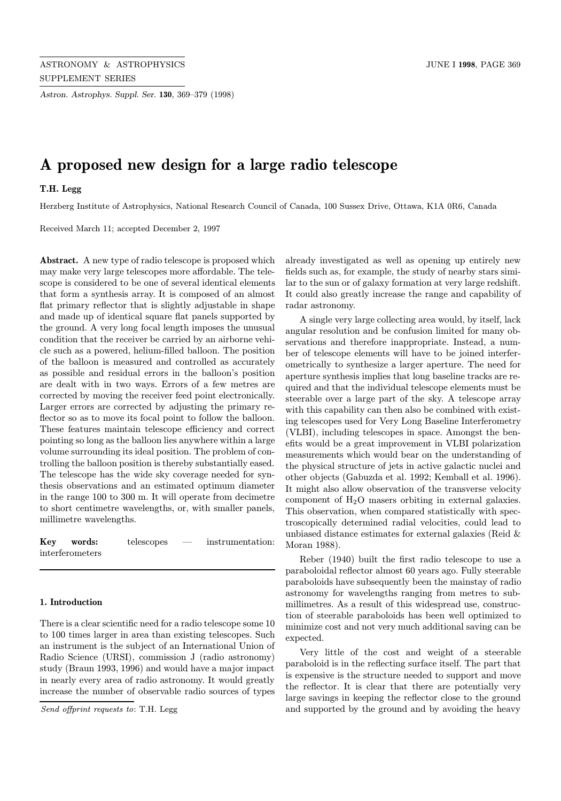Astron. Astrophys. Suppl. Ser. 130, 369–379 (1998)

# A proposed new design for a large radio telescope

## T.H. Legg

Herzberg Institute of Astrophysics, National Research Council of Canada, 100 Sussex Drive, Ottawa, K1A 0R6, Canada

Received March 11; accepted December 2, 1997

Abstract. A new type of radio telescope is proposed which may make very large telescopes more affordable. The telescope is considered to be one of several identical elements that form a synthesis array. It is composed of an almost flat primary reflector that is slightly adjustable in shape and made up of identical square flat panels supported by the ground. A very long focal length imposes the unusual condition that the receiver be carried by an airborne vehicle such as a powered, helium-filled balloon. The position of the balloon is measured and controlled as accurately as possible and residual errors in the balloon's position are dealt with in two ways. Errors of a few metres are corrected by moving the receiver feed point electronically. Larger errors are corrected by adjusting the primary reflector so as to move its focal point to follow the balloon. These features maintain telescope efficiency and correct pointing so long as the balloon lies anywhere within a large volume surrounding its ideal position. The problem of controlling the balloon position is thereby substantially eased. The telescope has the wide sky coverage needed for synthesis observations and an estimated optimum diameter in the range 100 to 300 m. It will operate from decimetre to short centimetre wavelengths, or, with smaller panels, millimetre wavelengths.

Key words: telescopes — instrumentation: interferometers

#### 1. Introduction

There is a clear scientific need for a radio telescope some 10 to 100 times larger in area than existing telescopes. Such an instrument is the subject of an International Union of Radio Science (URSI), commission J (radio astronomy) study (Braun 1993, 1996) and would have a major impact in nearly every area of radio astronomy. It would greatly increase the number of observable radio sources of types

Send offprint requests to: T.H. Legg

already investigated as well as opening up entirely new fields such as, for example, the study of nearby stars similar to the sun or of galaxy formation at very large redshift. It could also greatly increase the range and capability of radar astronomy.

A single very large collecting area would, by itself, lack angular resolution and be confusion limited for many observations and therefore inappropriate. Instead, a number of telescope elements will have to be joined interferometrically to synthesize a larger aperture. The need for aperture synthesis implies that long baseline tracks are required and that the individual telescope elements must be steerable over a large part of the sky. A telescope array with this capability can then also be combined with existing telescopes used for Very Long Baseline Interferometry (VLBI), including telescopes in space. Amongst the benefits would be a great improvement in VLBI polarization measurements which would bear on the understanding of the physical structure of jets in active galactic nuclei and other objects (Gabuzda et al. 1992; Kemball et al. 1996). It might also allow observation of the transverse velocity component of H2O masers orbiting in external galaxies. This observation, when compared statistically with spectroscopically determined radial velocities, could lead to unbiased distance estimates for external galaxies (Reid & Moran 1988).

Reber (1940) built the first radio telescope to use a paraboloidal reflector almost 60 years ago. Fully steerable paraboloids have subsequently been the mainstay of radio astronomy for wavelengths ranging from metres to submillimetres. As a result of this widespread use, construction of steerable paraboloids has been well optimized to minimize cost and not very much additional saving can be expected.

Very little of the cost and weight of a steerable paraboloid is in the reflecting surface itself. The part that is expensive is the structure needed to support and move the reflector. It is clear that there are potentially very large savings in keeping the reflector close to the ground and supported by the ground and by avoiding the heavy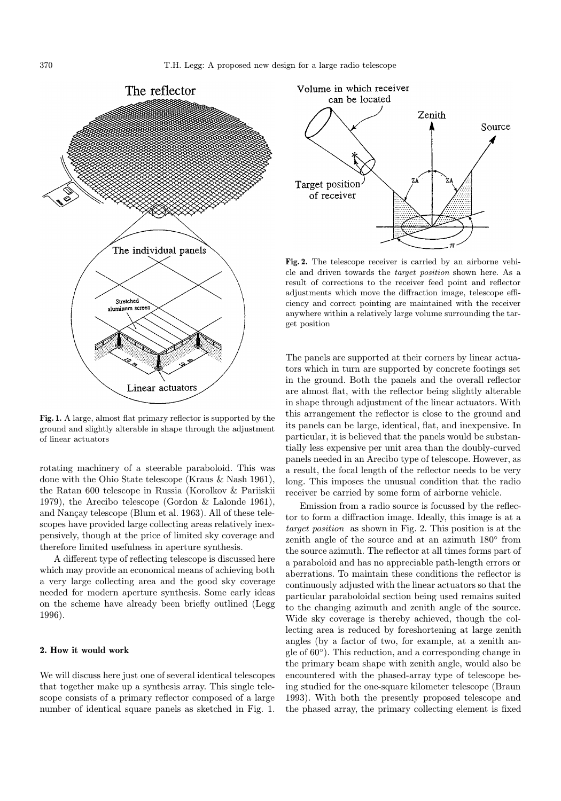

Fig. 1. A large, almost flat primary reflector is supported by the ground and slightly alterable in shape through the adjustment of linear actuators

rotating machinery of a steerable paraboloid. This was done with the Ohio State telescope (Kraus & Nash 1961), the Ratan 600 telescope in Russia (Korolkov & Pariiskii 1979), the Arecibo telescope (Gordon & Lalonde 1961), and Nançay telescope (Blum et al. 1963). All of these telescopes have provided large collecting areas relatively inexpensively, though at the price of limited sky coverage and therefore limited usefulness in aperture synthesis.

A different type of reflecting telescope is discussed here which may provide an economical means of achieving both a very large collecting area and the good sky coverage needed for modern aperture synthesis. Some early ideas on the scheme have already been briefly outlined (Legg 1996).

#### 2. How it would work

We will discuss here just one of several identical telescopes that together make up a synthesis array. This single telescope consists of a primary reflector composed of a large number of identical square panels as sketched in Fig. 1.



Fig. 2. The telescope receiver is carried by an airborne vehicle and driven towards the target position shown here. As a result of corrections to the receiver feed point and reflector adjustments which move the diffraction image, telescope efficiency and correct pointing are maintained with the receiver anywhere within a relatively large volume surrounding the target position

The panels are supported at their corners by linear actuators which in turn are supported by concrete footings set in the ground. Both the panels and the overall reflector are almost flat, with the reflector being slightly alterable in shape through adjustment of the linear actuators. With this arrangement the reflector is close to the ground and its panels can be large, identical, flat, and inexpensive. In particular, it is believed that the panels would be substantially less expensive per unit area than the doubly-curved panels needed in an Arecibo type of telescope. However, as a result, the focal length of the reflector needs to be very long. This imposes the unusual condition that the radio receiver be carried by some form of airborne vehicle.

Emission from a radio source is focussed by the reflector to form a diffraction image. Ideally, this image is at a target position as shown in Fig. 2. This position is at the zenith angle of the source and at an azimuth 180◦ from the source azimuth. The reflector at all times forms part of a paraboloid and has no appreciable path-length errors or aberrations. To maintain these conditions the reflector is continuously adjusted with the linear actuators so that the particular paraboloidal section being used remains suited to the changing azimuth and zenith angle of the source. Wide sky coverage is thereby achieved, though the collecting area is reduced by foreshortening at large zenith angles (by a factor of two, for example, at a zenith angle of 60◦). This reduction, and a corresponding change in the primary beam shape with zenith angle, would also be encountered with the phased-array type of telescope being studied for the one-square kilometer telescope (Braun 1993). With both the presently proposed telescope and the phased array, the primary collecting element is fixed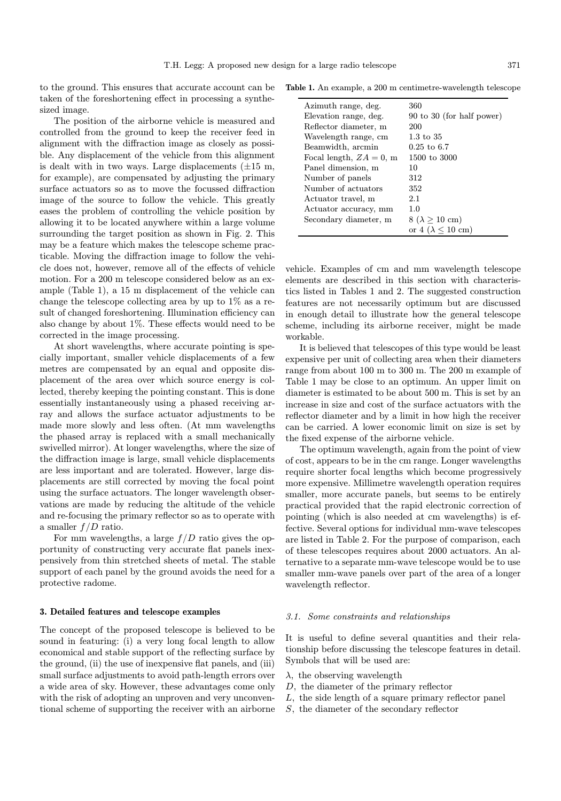to the ground. This ensures that accurate account can be taken of the foreshortening effect in processing a synthesized image.

The position of the airborne vehicle is measured and controlled from the ground to keep the receiver feed in alignment with the diffraction image as closely as possible. Any displacement of the vehicle from this alignment is dealt with in two ways. Large displacements  $(\pm 15 \text{ m},$ for example), are compensated by adjusting the primary surface actuators so as to move the focussed diffraction image of the source to follow the vehicle. This greatly eases the problem of controlling the vehicle position by allowing it to be located anywhere within a large volume surrounding the target position as shown in Fig. 2. This may be a feature which makes the telescope scheme practicable. Moving the diffraction image to follow the vehicle does not, however, remove all of the effects of vehicle motion. For a 200 m telescope considered below as an example (Table 1), a 15 m displacement of the vehicle can change the telescope collecting area by up to  $1\%$  as a result of changed foreshortening. Illumination efficiency can also change by about 1%. These effects would need to be corrected in the image processing.

At short wavelengths, where accurate pointing is specially important, smaller vehicle displacements of a few metres are compensated by an equal and opposite displacement of the area over which source energy is collected, thereby keeping the pointing constant. This is done essentially instantaneously using a phased receiving array and allows the surface actuator adjustments to be made more slowly and less often. (At mm wavelengths the phased array is replaced with a small mechanically swivelled mirror). At longer wavelengths, where the size of the diffraction image is large, small vehicle displacements are less important and are tolerated. However, large displacements are still corrected by moving the focal point using the surface actuators. The longer wavelength observations are made by reducing the altitude of the vehicle and re-focusing the primary reflector so as to operate with a smaller  $f/D$  ratio.

For mm wavelengths, a large  $f/D$  ratio gives the opportunity of constructing very accurate flat panels inexpensively from thin stretched sheets of metal. The stable support of each panel by the ground avoids the need for a protective radome.

#### 3. Detailed features and telescope examples

The concept of the proposed telescope is believed to be sound in featuring: (i) a very long focal length to allow economical and stable support of the reflecting surface by the ground, (ii) the use of inexpensive flat panels, and (iii) small surface adjustments to avoid path-length errors over a wide area of sky. However, these advantages come only with the risk of adopting an unproven and very unconventional scheme of supporting the receiver with an airborne

Table 1. An example, a 200 m centimetre-wavelength telescope

| Azimuth range, deg.      | 360                                    |
|--------------------------|----------------------------------------|
| Elevation range, deg.    | 90 to 30 (for half power)              |
| Reflector diameter, m    | 200                                    |
| Wavelength range, cm     | $1.3 \text{ to } 35$                   |
| Beamwidth, arcmin        | $0.25$ to 6.7                          |
| Focal length, $ZA=0$ , m | 1500 to 3000                           |
| Panel dimension, m       | 10                                     |
| Number of panels         | 312                                    |
| Number of actuators      | 352                                    |
| Actuator travel, m       | 2.1                                    |
| Actuator accuracy, mm    | 1.0                                    |
| Secondary diameter, m    | $8 (\lambda \ge 10 \text{ cm})$        |
|                          | or $4 \ (\lambda \leq 10 \ \text{cm})$ |

vehicle. Examples of cm and mm wavelength telescope elements are described in this section with characteristics listed in Tables 1 and 2. The suggested construction features are not necessarily optimum but are discussed in enough detail to illustrate how the general telescope scheme, including its airborne receiver, might be made workable.

It is believed that telescopes of this type would be least expensive per unit of collecting area when their diameters range from about 100 m to 300 m. The 200 m example of Table 1 may be close to an optimum. An upper limit on diameter is estimated to be about 500 m. This is set by an increase in size and cost of the surface actuators with the reflector diameter and by a limit in how high the receiver can be carried. A lower economic limit on size is set by the fixed expense of the airborne vehicle.

The optimum wavelength, again from the point of view of cost, appears to be in the cm range. Longer wavelengths require shorter focal lengths which become progressively more expensive. Millimetre wavelength operation requires smaller, more accurate panels, but seems to be entirely practical provided that the rapid electronic correction of pointing (which is also needed at cm wavelengths) is effective. Several options for individual mm-wave telescopes are listed in Table 2. For the purpose of comparison, each of these telescopes requires about 2000 actuators. An alternative to a separate mm-wave telescope would be to use smaller mm-wave panels over part of the area of a longer wavelength reflector.

#### 3.1. Some constraints and relationships

It is useful to define several quantities and their relationship before discussing the telescope features in detail. Symbols that will be used are:

- $\lambda$ , the observing wavelength
- D, the diameter of the primary reflector
- L, the side length of a square primary reflector panel
- S, the diameter of the secondary reflector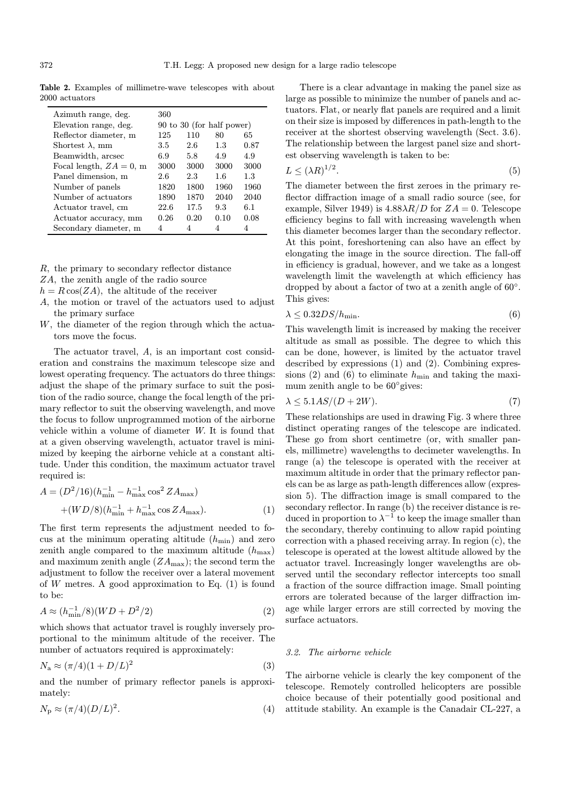Table 2. Examples of millimetre-wave telescopes with about 2000 actuators

| Azimuth range, deg.      | 360                       |      |      |      |
|--------------------------|---------------------------|------|------|------|
| Elevation range, deg.    | 90 to 30 (for half power) |      |      |      |
| Reflector diameter, m    | 125                       | 110  | 80   | 65   |
| Shortest $\lambda$ , mm  | 3.5                       | 2.6  | 1.3  | 0.87 |
| Beamwidth, arcsec        | 6.9                       | 5.8  | 4.9  | 4.9  |
| Focal length, $ZA=0$ , m | 3000                      | 3000 | 3000 | 3000 |
| Panel dimension, m       | 2.6                       | 2.3  | 1.6  | 1.3  |
| Number of panels         | 1820                      | 1800 | 1960 | 1960 |
| Number of actuators      | 1890                      | 1870 | 2040 | 2040 |
| Actuator travel, cm      | 22.6                      | 17.5 | 9.3  | 6.1  |
| Actuator accuracy, mm    | 0.26                      | 0.20 | 0.10 | 0.08 |
| Secondary diameter, m    | 4                         | 4    | 4    | 4    |

R, the primary to secondary reflector distance

- ZA, the zenith angle of the radio source
- $h = R \cos(ZA)$ , the altitude of the receiver
- A, the motion or travel of the actuators used to adjust the primary surface
- W, the diameter of the region through which the actuators move the focus.

The actuator travel, A, is an important cost consideration and constrains the maximum telescope size and lowest operating frequency. The actuators do three things: adjust the shape of the primary surface to suit the position of the radio source, change the focal length of the primary reflector to suit the observing wavelength, and move the focus to follow unprogrammed motion of the airborne vehicle within a volume of diameter W. It is found that at a given observing wavelength, actuator travel is minimized by keeping the airborne vehicle at a constant altitude. Under this condition, the maximum actuator travel required is:

$$
A = (D^{2}/16)(h_{\min}^{-1} - h_{\max}^{-1}\cos^{2} Z A_{\max})
$$
  
+
$$
(WD/8)(h_{\min}^{-1} + h_{\max}^{-1}\cos Z A_{\max}).
$$
 (1)

The first term represents the adjustment needed to focus at the minimum operating altitude  $(h_{\min})$  and zero zenith angle compared to the maximum altitude  $(h_{\text{max}})$ and maximum zenith angle  $(ZA_{\text{max}})$ ; the second term the adjustment to follow the receiver over a lateral movement of W metres. A good approximation to Eq.  $(1)$  is found to be:

$$
A \approx (h_{\min}^{-1}/8)(WD + D^2/2)
$$
 (2)

which shows that actuator travel is roughly inversely proportional to the minimum altitude of the receiver. The number of actuators required is approximately:

$$
N_{\rm a} \approx (\pi/4)(1 + D/L)^2 \tag{3}
$$

and the number of primary reflector panels is approximately:

$$
N_{\rm p} \approx (\pi/4)(D/L)^2. \tag{4}
$$

There is a clear advantage in making the panel size as large as possible to minimize the number of panels and actuators. Flat, or nearly flat panels are required and a limit on their size is imposed by differences in path-length to the receiver at the shortest observing wavelength (Sect. 3.6). The relationship between the largest panel size and shortest observing wavelength is taken to be:

$$
L \le (\lambda R)^{1/2}.\tag{5}
$$

The diameter between the first zeroes in the primary reflector diffraction image of a small radio source (see, for example, Silver 1949) is  $4.88\lambda R/D$  for  $ZA=0$ . Telescope efficiency begins to fall with increasing wavelength when this diameter becomes larger than the secondary reflector. At this point, foreshortening can also have an effect by elongating the image in the source direction. The fall-off in efficiency is gradual, however, and we take as a longest wavelength limit the wavelength at which efficiency has dropped by about a factor of two at a zenith angle of 60◦. This gives:

$$
\lambda \le 0.32DS/h_{\min}.\tag{6}
$$

This wavelength limit is increased by making the receiver altitude as small as possible. The degree to which this can be done, however, is limited by the actuator travel described by expressions (1) and (2). Combining expressions (2) and (6) to eliminate  $h_{\min}$  and taking the maximum zenith angle to be  $60°$  gives:

$$
\lambda \le 5.1AS/(D+2W). \tag{7}
$$

These relationships are used in drawing Fig. 3 where three distinct operating ranges of the telescope are indicated. These go from short centimetre (or, with smaller panels, millimetre) wavelengths to decimeter wavelengths. In range (a) the telescope is operated with the receiver at maximum altitude in order that the primary reflector panels can be as large as path-length differences allow (expression 5). The diffraction image is small compared to the secondary reflector. In range (b) the receiver distance is reduced in proportion to  $\lambda^{-1}$  to keep the image smaller than the secondary, thereby continuing to allow rapid pointing correction with a phased receiving array. In region (c), the telescope is operated at the lowest altitude allowed by the actuator travel. Increasingly longer wavelengths are observed until the secondary reflector intercepts too small a fraction of the source diffraction image. Small pointing errors are tolerated because of the larger diffraction image while larger errors are still corrected by moving the surface actuators.

#### 3.2. The airborne vehicle

The airborne vehicle is clearly the key component of the telescope. Remotely controlled helicopters are possible choice because of their potentially good positional and attitude stability. An example is the Canadair CL-227, a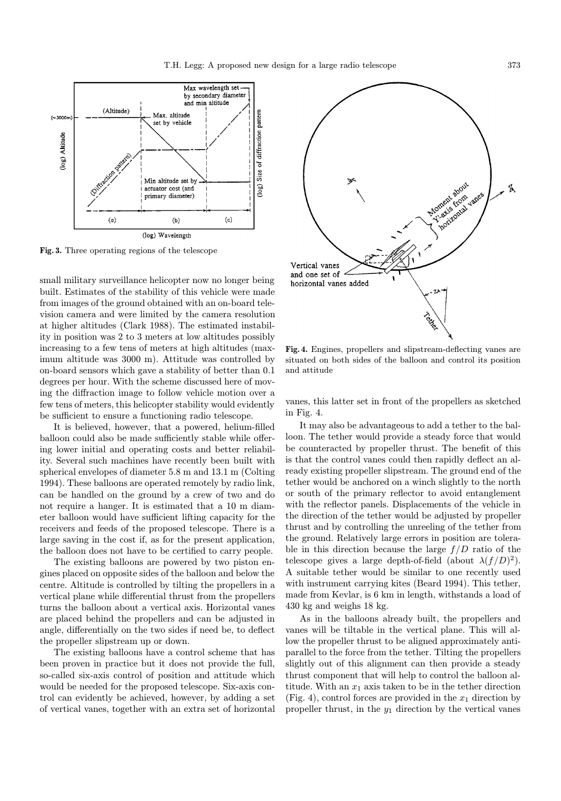

Fig. 3. Three operating regions of the telescope

small military surveillance helicopter now no longer being built. Estimates of the stability of this vehicle were made from images of the ground obtained with an on-board television camera and were limited by the camera resolution at higher altitudes (Clark 1988). The estimated instability in position was 2 to 3 meters at low altitudes possibly increasing to a few tens of meters at high altitudes (maximum altitude was 3000 m). Attitude was controlled by on-board sensors which gave a stability of better than 0.1 degrees per hour. With the scheme discussed here of moving the diffraction image to follow vehicle motion over a few tens of meters, this helicopter stability would evidently be sufficient to ensure a functioning radio telescope.

It is believed, however, that a powered, helium-filled balloon could also be made sufficiently stable while offering lower initial and operating costs and better reliability. Several such machines have recently been built with spherical envelopes of diameter 5.8 m and 13.1 m (Colting 1994). These balloons are operated remotely by radio link, can be handled on the ground by a crew of two and do not require a hanger. It is estimated that a 10 m diameter balloon would have sufficient lifting capacity for the receivers and feeds of the proposed telescope. There is a large saving in the cost if, as for the present application, the balloon does not have to be certified to carry people.

The existing balloons are powered by two piston engines placed on opposite sides of the balloon and below the centre. Altitude is controlled by tilting the propellers in a vertical plane while differential thrust from the propellers turns the balloon about a vertical axis. Horizontal vanes are placed behind the propellers and can be adjusted in angle, differentially on the two sides if need be, to deflect the propeller slipstream up or down.

The existing balloons have a control scheme that has been proven in practice but it does not provide the full, so-called six-axis control of position and attitude which would be needed for the proposed telescope. Six-axis control can evidently be achieved, however, by adding a set of vertical vanes, together with an extra set of horizontal



Fig. 4. Engines, propellers and slipstream-deflecting vanes are situated on both sides of the balloon and control its position and attitude

vanes, this latter set in front of the propellers as sketched in Fig. 4.

It may also be advantageous to add a tether to the balloon. The tether would provide a steady force that would be counteracted by propeller thrust. The benefit of this is that the control vanes could then rapidly deflect an already existing propeller slipstream. The ground end of the tether would be anchored on a winch slightly to the north or south of the primary reflector to avoid entanglement with the reflector panels. Displacements of the vehicle in the direction of the tether would be adjusted by propeller thrust and by controlling the unreeling of the tether from the ground. Relatively large errors in position are tolerable in this direction because the large  $f/D$  ratio of the telescope gives a large depth-of-field (about  $\lambda (f/D)^2$ ). A suitable tether would be similar to one recently used with instrument carrying kites (Beard 1994). This tether, made from Kevlar, is 6 km in length, withstands a load of 430 kg and weighs 18 kg.

As in the balloons already built, the propellers and vanes will be tiltable in the vertical plane. This will allow the propeller thrust to be aligned approximately antiparallel to the force from the tether. Tilting the propellers slightly out of this alignment can then provide a steady thrust component that will help to control the balloon altitude. With an  $x_1$  axis taken to be in the tether direction (Fig. 4), control forces are provided in the  $x_1$  direction by propeller thrust, in the  $y_1$  direction by the vertical vanes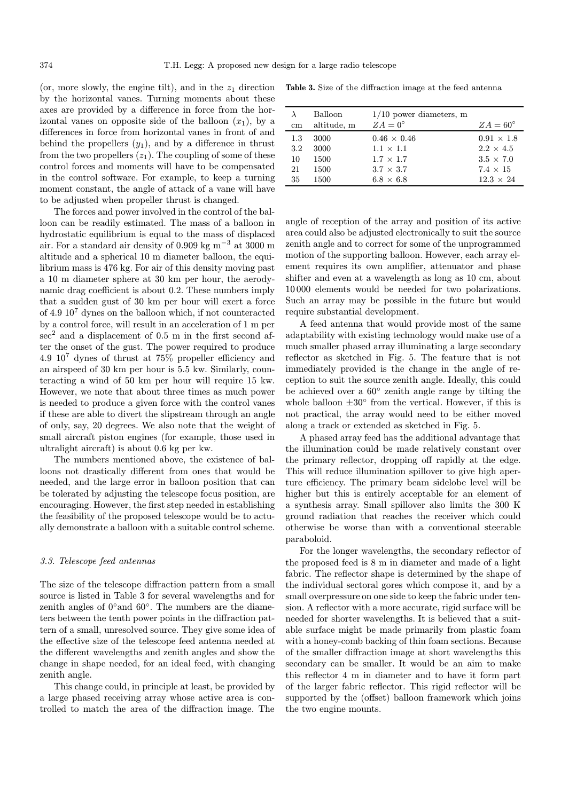(or, more slowly, the engine tilt), and in the  $z_1$  direction by the horizontal vanes. Turning moments about these axes are provided by a difference in force from the horizontal vanes on opposite side of the balloon  $(x_1)$ , by a differences in force from horizontal vanes in front of and behind the propellers  $(y_1)$ , and by a difference in thrust from the two propellers  $(z_1)$ . The coupling of some of these control forces and moments will have to be compensated in the control software. For example, to keep a turning moment constant, the angle of attack of a vane will have to be adjusted when propeller thrust is changed.

The forces and power involved in the control of the balloon can be readily estimated. The mass of a balloon in hydrostatic equilibrium is equal to the mass of displaced air. For a standard air density of 0.909 kg m<sup>−</sup><sup>3</sup> at 3000 m altitude and a spherical 10 m diameter balloon, the equilibrium mass is 476 kg. For air of this density moving past a 10 m diameter sphere at 30 km per hour, the aerodynamic drag coefficient is about 0.2. These numbers imply that a sudden gust of 30 km per hour will exert a force of 4.9 10<sup>7</sup> dynes on the balloon which, if not counteracted by a control force, will result in an acceleration of 1 m per  $\sec^2$  and a displacement of 0.5 m in the first second after the onset of the gust. The power required to produce 4.9 10<sup>7</sup> dynes of thrust at 75% propeller efficiency and an airspeed of 30 km per hour is 5.5 kw. Similarly, counteracting a wind of 50 km per hour will require 15 kw. However, we note that about three times as much power is needed to produce a given force with the control vanes if these are able to divert the slipstream through an angle of only, say, 20 degrees. We also note that the weight of small aircraft piston engines (for example, those used in ultralight aircraft) is about 0.6 kg per kw.

The numbers mentioned above, the existence of balloons not drastically different from ones that would be needed, and the large error in balloon position that can be tolerated by adjusting the telescope focus position, are encouraging. However, the first step needed in establishing the feasibility of the proposed telescope would be to actually demonstrate a balloon with a suitable control scheme.

#### 3.3. Telescope feed antennas

The size of the telescope diffraction pattern from a small source is listed in Table 3 for several wavelengths and for zenith angles of 0◦and 60◦. The numbers are the diameters between the tenth power points in the diffraction pattern of a small, unresolved source. They give some idea of the effective size of the telescope feed antenna needed at the different wavelengths and zenith angles and show the change in shape needed, for an ideal feed, with changing zenith angle.

This change could, in principle at least, be provided by a large phased receiving array whose active area is controlled to match the area of the diffraction image. The

Table 3. Size of the diffraction image at the feed antenna

| cm  | Balloon<br>altitude, m | $1/10$ power diameters, m<br>$ZA=0^\circ$ | $ZA=60^{\circ}$   |
|-----|------------------------|-------------------------------------------|-------------------|
| 1.3 | 3000                   | $0.46 \times 0.46$                        | $0.91 \times 1.8$ |
| 3.2 | 3000                   | $1.1 \times 1.1$                          | $2.2 \times 4.5$  |
| 10  | 1500                   | $1.7 \times 1.7$                          | $3.5 \times 7.0$  |
| 21  | 1500                   | $3.7 \times 3.7$                          | $7.4 \times 15$   |
| 35  | 1500                   | $6.8 \times 6.8$                          | $12.3 \times 24$  |
|     |                        |                                           |                   |

angle of reception of the array and position of its active area could also be adjusted electronically to suit the source zenith angle and to correct for some of the unprogrammed motion of the supporting balloon. However, each array element requires its own amplifier, attenuator and phase shifter and even at a wavelength as long as 10 cm, about 10 000 elements would be needed for two polarizations. Such an array may be possible in the future but would require substantial development.

A feed antenna that would provide most of the same adaptability with existing technology would make use of a much smaller phased array illuminating a large secondary reflector as sketched in Fig. 5. The feature that is not immediately provided is the change in the angle of reception to suit the source zenith angle. Ideally, this could be achieved over a 60◦ zenith angle range by tilting the whole balloon  $\pm 30^\circ$  from the vertical. However, if this is not practical, the array would need to be either moved along a track or extended as sketched in Fig. 5.

A phased array feed has the additional advantage that the illumination could be made relatively constant over the primary reflector, dropping off rapidly at the edge. This will reduce illumination spillover to give high aperture efficiency. The primary beam sidelobe level will be higher but this is entirely acceptable for an element of a synthesis array. Small spillover also limits the 300 K ground radiation that reaches the receiver which could otherwise be worse than with a conventional steerable paraboloid.

For the longer wavelengths, the secondary reflector of the proposed feed is 8 m in diameter and made of a light fabric. The reflector shape is determined by the shape of the individual sectoral gores which compose it, and by a small overpressure on one side to keep the fabric under tension. A reflector with a more accurate, rigid surface will be needed for shorter wavelengths. It is believed that a suitable surface might be made primarily from plastic foam with a honey-comb backing of thin foam sections. Because of the smaller diffraction image at short wavelengths this secondary can be smaller. It would be an aim to make this reflector 4 m in diameter and to have it form part of the larger fabric reflector. This rigid reflector will be supported by the (offset) balloon framework which joins the two engine mounts.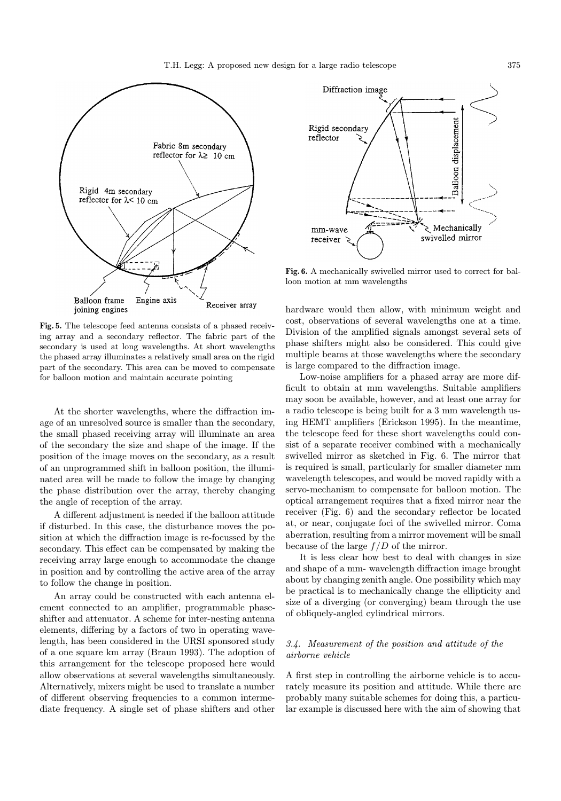

Fig. 5. The telescope feed antenna consists of a phased receiving array and a secondary reflector. The fabric part of the secondary is used at long wavelengths. At short wavelengths the phased array illuminates a relatively small area on the rigid part of the secondary. This area can be moved to compensate for balloon motion and maintain accurate pointing

At the shorter wavelengths, where the diffraction image of an unresolved source is smaller than the secondary, the small phased receiving array will illuminate an area of the secondary the size and shape of the image. If the position of the image moves on the secondary, as a result of an unprogrammed shift in balloon position, the illuminated area will be made to follow the image by changing the phase distribution over the array, thereby changing the angle of reception of the array.

A different adjustment is needed if the balloon attitude if disturbed. In this case, the disturbance moves the position at which the diffraction image is re-focussed by the secondary. This effect can be compensated by making the receiving array large enough to accommodate the change in position and by controlling the active area of the array to follow the change in position.

An array could be constructed with each antenna element connected to an amplifier, programmable phaseshifter and attenuator. A scheme for inter-nesting antenna elements, differing by a factors of two in operating wavelength, has been considered in the URSI sponsored study of a one square km array (Braun 1993). The adoption of this arrangement for the telescope proposed here would allow observations at several wavelengths simultaneously. Alternatively, mixers might be used to translate a number of different observing frequencies to a common intermediate frequency. A single set of phase shifters and other



Fig. 6. A mechanically swivelled mirror used to correct for balloon motion at mm wavelengths

hardware would then allow, with minimum weight and cost, observations of several wavelengths one at a time. Division of the amplified signals amongst several sets of phase shifters might also be considered. This could give multiple beams at those wavelengths where the secondary is large compared to the diffraction image.

Low-noise amplifiers for a phased array are more difficult to obtain at mm wavelengths. Suitable amplifiers may soon be available, however, and at least one array for a radio telescope is being built for a 3 mm wavelength using HEMT amplifiers (Erickson 1995). In the meantime, the telescope feed for these short wavelengths could consist of a separate receiver combined with a mechanically swivelled mirror as sketched in Fig. 6. The mirror that is required is small, particularly for smaller diameter mm wavelength telescopes, and would be moved rapidly with a servo-mechanism to compensate for balloon motion. The optical arrangement requires that a fixed mirror near the receiver (Fig. 6) and the secondary reflector be located at, or near, conjugate foci of the swivelled mirror. Coma aberration, resulting from a mirror movement will be small because of the large  $f/D$  of the mirror.

It is less clear how best to deal with changes in size and shape of a mm- wavelength diffraction image brought about by changing zenith angle. One possibility which may be practical is to mechanically change the ellipticity and size of a diverging (or converging) beam through the use of obliquely-angled cylindrical mirrors.

### 3.4. Measurement of the position and attitude of the airborne vehicle

A first step in controlling the airborne vehicle is to accurately measure its position and attitude. While there are probably many suitable schemes for doing this, a particular example is discussed here with the aim of showing that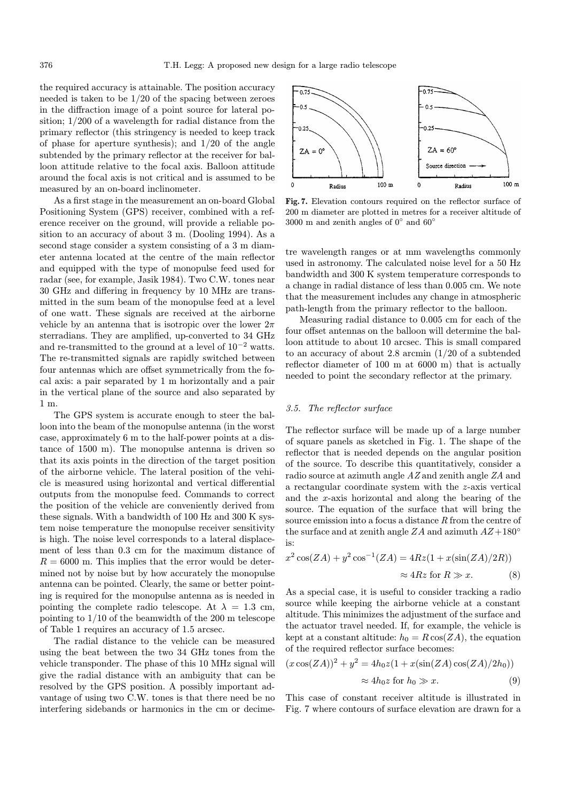the required accuracy is attainable. The position accuracy needed is taken to be 1/20 of the spacing between zeroes in the diffraction image of a point source for lateral position; 1/200 of a wavelength for radial distance from the primary reflector (this stringency is needed to keep track of phase for aperture synthesis); and  $1/20$  of the angle subtended by the primary reflector at the receiver for balloon attitude relative to the focal axis. Balloon attitude around the focal axis is not critical and is assumed to be measured by an on-board inclinometer.

As a first stage in the measurement an on-board Global Positioning System (GPS) receiver, combined with a reference receiver on the ground, will provide a reliable position to an accuracy of about 3 m. (Dooling 1994). As a second stage consider a system consisting of a 3 m diameter antenna located at the centre of the main reflector and equipped with the type of monopulse feed used for radar (see, for example, Jasik 1984). Two C.W. tones near 30 GHz and differing in frequency by 10 MHz are transmitted in the sum beam of the monopulse feed at a level of one watt. These signals are received at the airborne vehicle by an antenna that is isotropic over the lower  $2\pi$ sterradians. They are amplified, up-converted to 34 GHz and re-transmitted to the ground at a level of  $10^{-2}$  watts. The re-transmitted signals are rapidly switched between four antennas which are offset symmetrically from the focal axis: a pair separated by 1 m horizontally and a pair in the vertical plane of the source and also separated by 1 m.

The GPS system is accurate enough to steer the balloon into the beam of the monopulse antenna (in the worst case, approximately 6 m to the half-power points at a distance of 1500 m). The monopulse antenna is driven so that its axis points in the direction of the target position of the airborne vehicle. The lateral position of the vehicle is measured using horizontal and vertical differential outputs from the monopulse feed. Commands to correct the position of the vehicle are conveniently derived from these signals. With a bandwidth of 100 Hz and 300 K system noise temperature the monopulse receiver sensitivity is high. The noise level corresponds to a lateral displacement of less than 0.3 cm for the maximum distance of  $R = 6000$  m. This implies that the error would be determined not by noise but by how accurately the monopulse antenna can be pointed. Clearly, the same or better pointing is required for the monopulse antenna as is needed in pointing the complete radio telescope. At  $\lambda = 1.3$  cm, pointing to 1/10 of the beamwidth of the 200 m telescope of Table 1 requires an accuracy of 1.5 arcsec.

The radial distance to the vehicle can be measured using the beat between the two 34 GHz tones from the vehicle transponder. The phase of this 10 MHz signal will give the radial distance with an ambiguity that can be resolved by the GPS position. A possibly important advantage of using two C.W. tones is that there need be no interfering sidebands or harmonics in the cm or decime-



Fig. 7. Elevation contours required on the reflector surface of 200 m diameter are plotted in metres for a receiver altitude of  $3000$  m and zenith angles of  $0^{\circ}$  and  $60^{\circ}$ 

tre wavelength ranges or at mm wavelengths commonly used in astronomy. The calculated noise level for a 50 Hz bandwidth and 300 K system temperature corresponds to a change in radial distance of less than 0.005 cm. We note that the measurement includes any change in atmospheric path-length from the primary reflector to the balloon.

Measuring radial distance to 0.005 cm for each of the four offset antennas on the balloon will determine the balloon attitude to about 10 arcsec. This is small compared to an accuracy of about 2.8 arcmin (1/20 of a subtended reflector diameter of 100 m at 6000 m) that is actually needed to point the secondary reflector at the primary.

#### 3.5. The reflector surface

The reflector surface will be made up of a large number of square panels as sketched in Fig. 1. The shape of the reflector that is needed depends on the angular position of the source. To describe this quantitatively, consider a radio source at azimuth angle AZ and zenith angle ZA and a rectangular coordinate system with the z-axis vertical and the x-axis horizontal and along the bearing of the source. The equation of the surface that will bring the source emission into a focus a distance R from the centre of the surface and at zenith angle ZA and azimuth  $AZ+180^{\circ}$ is:

$$
x^{2}\cos(ZA) + y^{2}\cos^{-1}(ZA) = 4Rz(1 + x(\sin(ZA)/2R))
$$
  

$$
\approx 4Rz \text{ for } R \gg x. \tag{8}
$$

As a special case, it is useful to consider tracking a radio source while keeping the airborne vehicle at a constant altitude. This minimizes the adjustment of the surface and the actuator travel needed. If, for example, the vehicle is kept at a constant altitude:  $h_0 = R \cos(ZA)$ , the equation of the required reflector surface becomes:

$$
(x\cos(ZA))^2 + y^2 = 4h_0z(1 + x(\sin(ZA)\cos(ZA)/2h_0))
$$
  

$$
\approx 4h_0z \text{ for } h_0 \gg x. \tag{9}
$$

This case of constant receiver altitude is illustrated in Fig. 7 where contours of surface elevation are drawn for a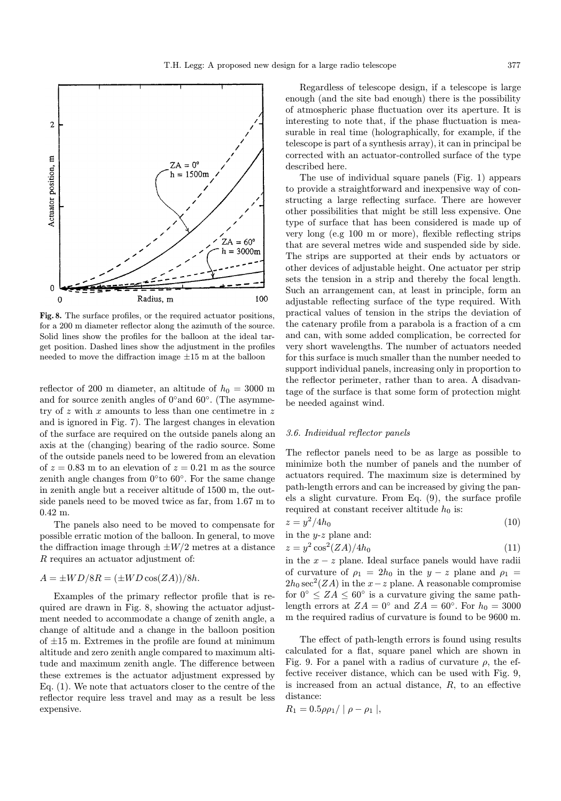

Fig. 8. The surface profiles, or the required actuator positions, for a 200 m diameter reflector along the azimuth of the source. Solid lines show the profiles for the balloon at the ideal target position. Dashed lines show the adjustment in the profiles needed to move the diffraction image  $\pm 15$  m at the balloon

reflector of 200 m diameter, an altitude of  $h_0 = 3000$  m and for source zenith angles of  $0°$  and  $60°$ . (The asymmetry of z with x amounts to less than one centimetre in z and is ignored in Fig. 7). The largest changes in elevation of the surface are required on the outside panels along an axis at the (changing) bearing of the radio source. Some of the outside panels need to be lowered from an elevation of  $z = 0.83$  m to an elevation of  $z = 0.21$  m as the source zenith angle changes from  $0°$  to  $60°$ . For the same change in zenith angle but a receiver altitude of 1500 m, the outside panels need to be moved twice as far, from 1.67 m to 0.42 m.

The panels also need to be moved to compensate for possible erratic motion of the balloon. In general, to move the diffraction image through  $\pm W/2$  metres at a distance R requires an actuator adjustment of:

# $A = \pm WD/8R = (\pm WD \cos(ZA))/8h.$

Examples of the primary reflector profile that is required are drawn in Fig. 8, showing the actuator adjustment needed to accommodate a change of zenith angle, a change of altitude and a change in the balloon position of  $\pm 15$  m. Extremes in the profile are found at minimum altitude and zero zenith angle compared to maximum altitude and maximum zenith angle. The difference between these extremes is the actuator adjustment expressed by Eq. (1). We note that actuators closer to the centre of the reflector require less travel and may as a result be less expensive.

Regardless of telescope design, if a telescope is large enough (and the site bad enough) there is the possibility of atmospheric phase fluctuation over its aperture. It is interesting to note that, if the phase fluctuation is measurable in real time (holographically, for example, if the telescope is part of a synthesis array), it can in principal be corrected with an actuator-controlled surface of the type described here.

The use of individual square panels (Fig. 1) appears to provide a straightforward and inexpensive way of constructing a large reflecting surface. There are however other possibilities that might be still less expensive. One type of surface that has been considered is made up of very long (e.g 100 m or more), flexible reflecting strips that are several metres wide and suspended side by side. The strips are supported at their ends by actuators or other devices of adjustable height. One actuator per strip sets the tension in a strip and thereby the focal length. Such an arrangement can, at least in principle, form an adjustable reflecting surface of the type required. With practical values of tension in the strips the deviation of the catenary profile from a parabola is a fraction of a cm and can, with some added complication, be corrected for very short wavelengths. The number of actuators needed for this surface is much smaller than the number needed to support individual panels, increasing only in proportion to the reflector perimeter, rather than to area. A disadvantage of the surface is that some form of protection might be needed against wind.

#### 3.6. Individual reflector panels

The reflector panels need to be as large as possible to minimize both the number of panels and the number of actuators required. The maximum size is determined by path-length errors and can be increased by giving the panels a slight curvature. From Eq. (9), the surface profile required at constant receiver altitude  $h_0$  is:

$$
z = y^2 / 4h_0 \tag{10}
$$

in the *y-z* plane and:\n
$$
y - z = 2(\pi t) \cdot (t)
$$

$$
z = y^2 \cos^2(ZA)/4h_0 \tag{11}
$$

in the  $x - z$  plane. Ideal surface panels would have radii of curvature of  $\rho_1 = 2h_0$  in the  $y - z$  plane and  $\rho_1 =$  $2h_0 \sec^2(ZA)$  in the  $x-z$  plane. A reasonable compromise for  $0^{\circ} \leq ZA \leq 60^{\circ}$  is a curvature giving the same pathlength errors at  $ZA = 0^{\circ}$  and  $ZA = 60^{\circ}$ . For  $h_0 = 3000$ m the required radius of curvature is found to be 9600 m.

The effect of path-length errors is found using results calculated for a flat, square panel which are shown in Fig. 9. For a panel with a radius of curvature  $\rho$ , the effective receiver distance, which can be used with Fig. 9, is increased from an actual distance,  $R$ , to an effective distance:

$$
R_1=0.5\rho\rho_1/\mid\rho-\rho_1\mid,
$$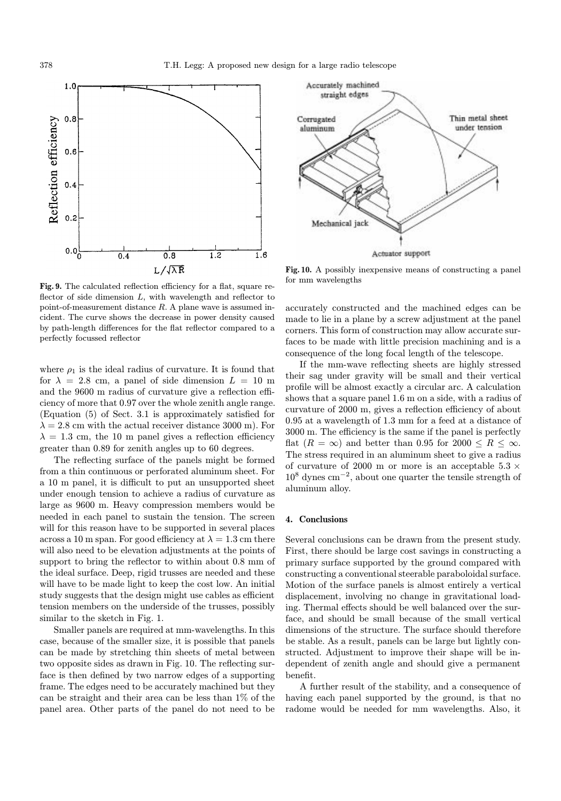

Fig. 9. The calculated reflection efficiency for a flat, square reflector of side dimension  $L$ , with wavelength and reflector to point-of-measurement distance R. A plane wave is assumed incident. The curve shows the decrease in power density caused by path-length differences for the flat reflector compared to a perfectly focussed reflector

where  $\rho_1$  is the ideal radius of curvature. It is found that for  $\lambda = 2.8$  cm, a panel of side dimension  $L = 10$  m and the 9600 m radius of curvature give a reflection efficiency of more that 0.97 over the whole zenith angle range. (Equation (5) of Sect. 3.1 is approximately satisfied for  $\lambda = 2.8$  cm with the actual receiver distance 3000 m). For  $\lambda = 1.3$  cm, the 10 m panel gives a reflection efficiency greater than 0.89 for zenith angles up to 60 degrees.

The reflecting surface of the panels might be formed from a thin continuous or perforated aluminum sheet. For a 10 m panel, it is difficult to put an unsupported sheet under enough tension to achieve a radius of curvature as large as 9600 m. Heavy compression members would be needed in each panel to sustain the tension. The screen will for this reason have to be supported in several places across a 10 m span. For good efficiency at  $\lambda = 1.3$  cm there will also need to be elevation adjustments at the points of support to bring the reflector to within about 0.8 mm of the ideal surface. Deep, rigid trusses are needed and these will have to be made light to keep the cost low. An initial study suggests that the design might use cables as efficient tension members on the underside of the trusses, possibly similar to the sketch in Fig. 1.

Smaller panels are required at mm-wavelengths. In this case, because of the smaller size, it is possible that panels can be made by stretching thin sheets of metal between two opposite sides as drawn in Fig. 10. The reflecting surface is then defined by two narrow edges of a supporting frame. The edges need to be accurately machined but they can be straight and their area can be less than 1% of the panel area. Other parts of the panel do not need to be



Fig. 10. A possibly inexpensive means of constructing a panel for mm wavelengths

accurately constructed and the machined edges can be made to lie in a plane by a screw adjustment at the panel corners. This form of construction may allow accurate surfaces to be made with little precision machining and is a consequence of the long focal length of the telescope.

If the mm-wave reflecting sheets are highly stressed their sag under gravity will be small and their vertical profile will be almost exactly a circular arc. A calculation shows that a square panel 1.6 m on a side, with a radius of curvature of 2000 m, gives a reflection efficiency of about 0.95 at a wavelength of 1.3 mm for a feed at a distance of 3000 m. The efficiency is the same if the panel is perfectly flat  $(R = \infty)$  and better than 0.95 for 2000  $\le R \le \infty$ . The stress required in an aluminum sheet to give a radius of curvature of 2000 m or more is an acceptable 5.3  $\times$  $10^8$  dynes cm<sup>-2</sup>, about one quarter the tensile strength of aluminum alloy.

#### 4. Conclusions

Several conclusions can be drawn from the present study. First, there should be large cost savings in constructing a primary surface supported by the ground compared with constructing a conventional steerable paraboloidal surface. Motion of the surface panels is almost entirely a vertical displacement, involving no change in gravitational loading. Thermal effects should be well balanced over the surface, and should be small because of the small vertical dimensions of the structure. The surface should therefore be stable. As a result, panels can be large but lightly constructed. Adjustment to improve their shape will be independent of zenith angle and should give a permanent benefit.

A further result of the stability, and a consequence of having each panel supported by the ground, is that no radome would be needed for mm wavelengths. Also, it